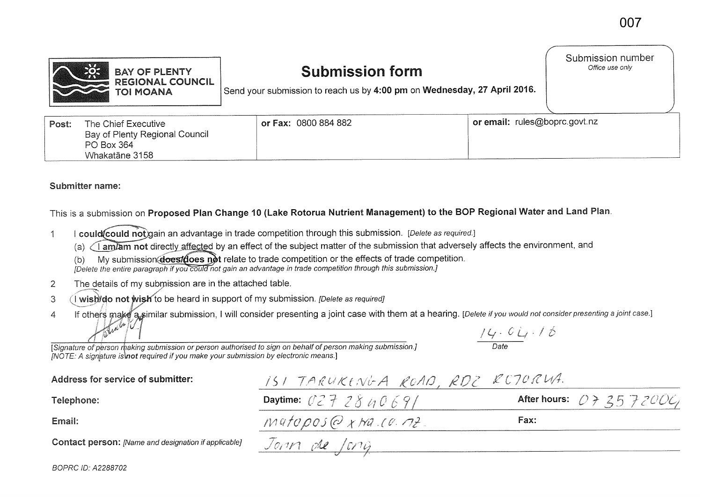

## **Submission form**

Submission number Office use only

Send your submission to reach us by **4:00 pm** on **Wednesday, 27 April 2016.** 

| Post: | The Chief Executive            | or Fax: 0800 884 882 | or email: rules@boprc.govt.nz |
|-------|--------------------------------|----------------------|-------------------------------|
|       | Bay of Plenty Regional Council |                      |                               |
|       | PO Box 364                     |                      |                               |
|       | Whakatāne 3158                 |                      |                               |

## **Submitter name:**

BOPRC ID: A2288702

This is a submission on **Proposed Plan Change 10 (Lake Rotorua Nutrient Management) to the BOP Regional Water and Land Plan.** 

- 1 I could **Could not** gain an advantage in trade competition through this submission. [Delete as required.]
	- (a)  $\sqrt{ }$  am/am not directly affected by an effect of the subject matter of the submission that adversely affects the environment, and
	- (b) My submission **does/does not** relate to trade competition or the effects of trade competition.
	- [Delete the entire paragraph if you could not gain an advantage in trade competition through this submission.]
- 2 **The** details of my submission are in the attached table.
- 3 (I wish/do not wish to be heard in support of my submission. *[Delete as required]*
- 4 If others make a similar submission, I will consider presenting a joint case with them at a hearing. [Delete if you would not consider presenting a joint case.]<br>And the state of the state of the state of the state is to  $C_{\iota}$  . 16

Date

[Signature of person making submission or person authorised to sign on behalf of person making submission.]  $INOTE: A$  signature is not required if you make your submission by electronic means.

| Address for service of submitter:                           | ISI TARUKENGA ROAD, RDZ RCJORWA.    |                            |
|-------------------------------------------------------------|-------------------------------------|----------------------------|
| Telephone:                                                  | Daytime: $0272840691$               | After hours: $073572006$ , |
| Email:                                                      | $M410\rho 05 Q \times M4$ (0 $72$ ) | Fax:                       |
| <b>Contact person:</b> [Name and designation if applicable] | Jonn de Jong                        |                            |